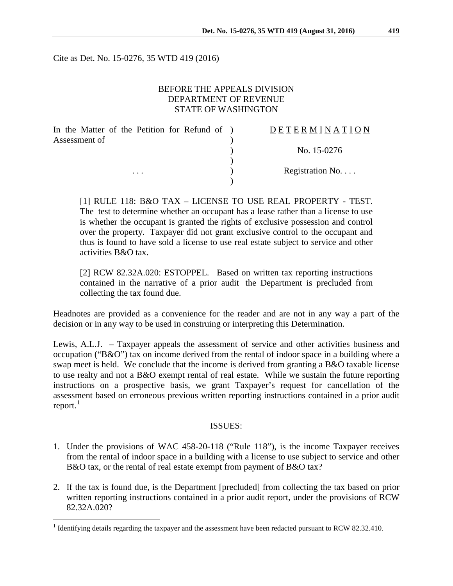Cite as Det. No. 15-0276, 35 WTD 419 (2016)

## BEFORE THE APPEALS DIVISION DEPARTMENT OF REVENUE STATE OF WASHINGTON

| In the Matter of the Petition for Refund of ) | DETERMINATION   |
|-----------------------------------------------|-----------------|
| Assessment of                                 |                 |
|                                               | No. 15-0276     |
|                                               |                 |
| $\cdots$                                      | Registration No |
|                                               |                 |

[1] RULE 118: B&O TAX – LICENSE TO USE REAL PROPERTY - TEST. The test to determine whether an occupant has a lease rather than a license to use is whether the occupant is granted the rights of exclusive possession and control over the property. Taxpayer did not grant exclusive control to the occupant and thus is found to have sold a license to use real estate subject to service and other activities B&O tax.

[2] RCW 82.32A.020: ESTOPPEL. Based on written tax reporting instructions contained in the narrative of a prior audit the Department is precluded from collecting the tax found due.

Headnotes are provided as a convenience for the reader and are not in any way a part of the decision or in any way to be used in construing or interpreting this Determination.

Lewis, A.L.J. – Taxpayer appeals the assessment of service and other activities business and occupation ("B&O") tax on income derived from the rental of indoor space in a building where a swap meet is held. We conclude that the income is derived from granting a B&O taxable license to use realty and not a B&O exempt rental of real estate. While we sustain the future reporting instructions on a prospective basis, we grant Taxpayer's request for cancellation of the assessment based on erroneous previous written reporting instructions contained in a prior audit report. $<sup>1</sup>$  $<sup>1</sup>$  $<sup>1</sup>$ </sup>

#### ISSUES:

- 1. Under the provisions of WAC 458-20-118 ("Rule 118"), is the income Taxpayer receives from the rental of indoor space in a building with a license to use subject to service and other B&O tax, or the rental of real estate exempt from payment of B&O tax?
- 2. If the tax is found due, is the Department [precluded] from collecting the tax based on prior written reporting instructions contained in a prior audit report, under the provisions of RCW 82.32A.020?

<span id="page-0-0"></span><sup>&</sup>lt;sup>1</sup> Identifying details regarding the taxpayer and the assessment have been redacted pursuant to RCW 82.32.410.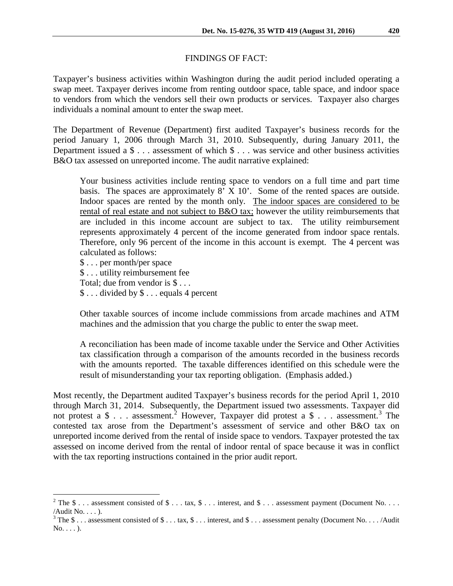### FINDINGS OF FACT:

Taxpayer's business activities within Washington during the audit period included operating a swap meet. Taxpayer derives income from renting outdoor space, table space, and indoor space to vendors from which the vendors sell their own products or services. Taxpayer also charges individuals a nominal amount to enter the swap meet.

The Department of Revenue (Department) first audited Taxpayer's business records for the period January 1, 2006 through March 31, 2010. Subsequently, during January 2011, the Department issued a \$ . . . assessment of which \$ . . . was service and other business activities B&O tax assessed on unreported income. The audit narrative explained:

Your business activities include renting space to vendors on a full time and part time basis. The spaces are approximately 8' X 10'. Some of the rented spaces are outside. Indoor spaces are rented by the month only. The indoor spaces are considered to be rental of real estate and not subject to B&O tax; however the utility reimbursements that are included in this income account are subject to tax. The utility reimbursement represents approximately 4 percent of the income generated from indoor space rentals. Therefore, only 96 percent of the income in this account is exempt. The 4 percent was calculated as follows:

\$ . . . per month/per space \$ . . . utility reimbursement fee Total; due from vendor is \$ . . . \$ . . . divided by \$ . . . equals 4 percent

Other taxable sources of income include commissions from arcade machines and ATM machines and the admission that you charge the public to enter the swap meet.

A reconciliation has been made of income taxable under the Service and Other Activities tax classification through a comparison of the amounts recorded in the business records with the amounts reported. The taxable differences identified on this schedule were the result of misunderstanding your tax reporting obligation. (Emphasis added.)

Most recently, the Department audited Taxpayer's business records for the period April 1, 2010 through March 31, 2014. Subsequently, the Department issued two assessments. Taxpayer did not protest a  $\frac{1}{3}$  $\frac{1}{3}$  $\frac{1}{3}$ ... assessment.<sup>[2](#page-1-0)</sup> However, Taxpayer did protest a  $\frac{1}{3}$ ... assessment.<sup>3</sup> The contested tax arose from the Department's assessment of service and other B&O tax on unreported income derived from the rental of inside space to vendors. Taxpayer protested the tax assessed on income derived from the rental of indoor rental of space because it was in conflict with the tax reporting instructions contained in the prior audit report.

<span id="page-1-0"></span><sup>&</sup>lt;sup>2</sup> The \$ . . . assessment consisted of \$ . . . tax, \$ . . . interest, and \$ . . . assessment payment (Document No. . . . /Audit No. . . . ).

<span id="page-1-1"></span><sup>&</sup>lt;sup>3</sup> The \$ . . . assessment consisted of \$ . . . tax, \$ . . . interest, and \$ . . . assessment penalty (Document No. . . . /Audit  $No. \ldots$ ).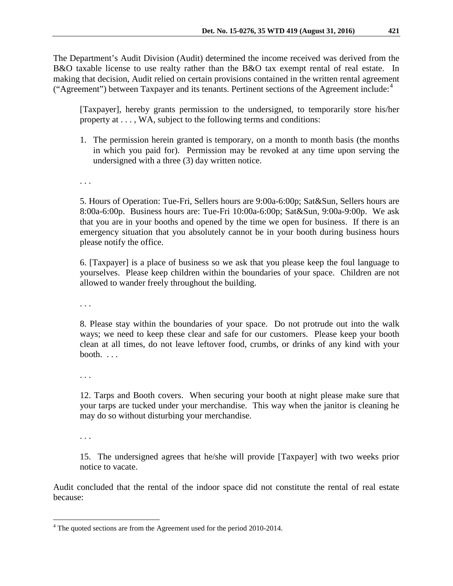The Department's Audit Division (Audit) determined the income received was derived from the B&O taxable license to use realty rather than the B&O tax exempt rental of real estate. In making that decision, Audit relied on certain provisions contained in the written rental agreement ("Agreement") between Taxpayer and its tenants. Pertinent sections of the Agreement include: $4$ 

[Taxpayer], hereby grants permission to the undersigned, to temporarily store his/her property at . . . , WA, subject to the following terms and conditions:

1. The permission herein granted is temporary, on a month to month basis (the months in which you paid for). Permission may be revoked at any time upon serving the undersigned with a three (3) day written notice.

. . .

5. Hours of Operation: Tue-Fri, Sellers hours are 9:00a-6:00p; Sat&Sun, Sellers hours are 8:00a-6:00p. Business hours are: Tue-Fri 10:00a-6:00p; Sat&Sun, 9:00a-9:00p. We ask that you are in your booths and opened by the time we open for business. If there is an emergency situation that you absolutely cannot be in your booth during business hours please notify the office.

6. [Taxpayer] is a place of business so we ask that you please keep the foul language to yourselves. Please keep children within the boundaries of your space. Children are not allowed to wander freely throughout the building.

. . .

8. Please stay within the boundaries of your space. Do not protrude out into the walk ways; we need to keep these clear and safe for our customers. Please keep your booth clean at all times, do not leave leftover food, crumbs, or drinks of any kind with your booth. . . .

. . .

12. Tarps and Booth covers. When securing your booth at night please make sure that your tarps are tucked under your merchandise. This way when the janitor is cleaning he may do so without disturbing your merchandise.

. . .

15. The undersigned agrees that he/she will provide [Taxpayer] with two weeks prior notice to vacate.

Audit concluded that the rental of the indoor space did not constitute the rental of real estate because:

<span id="page-2-0"></span><sup>&</sup>lt;sup>4</sup> The quoted sections are from the Agreement used for the period 2010-2014.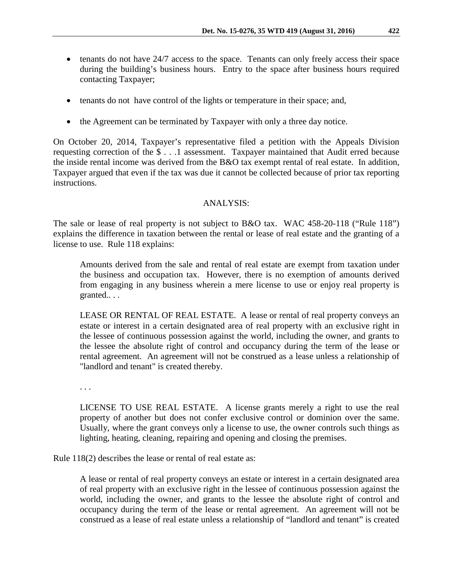- tenants do not have 24/7 access to the space. Tenants can only freely access their space during the building's business hours. Entry to the space after business hours required contacting Taxpayer;
- tenants do not have control of the lights or temperature in their space; and,
- the Agreement can be terminated by Taxpayer with only a three day notice.

On October 20, 2014, Taxpayer's representative filed a petition with the Appeals Division requesting correction of the \$ . . .1 assessment. Taxpayer maintained that Audit erred because the inside rental income was derived from the B&O tax exempt rental of real estate. In addition, Taxpayer argued that even if the tax was due it cannot be collected because of prior tax reporting instructions.

### ANALYSIS:

The sale or lease of real property is not subject to B&O tax. WAC 458-20-118 ("Rule 118") explains the difference in taxation between the rental or lease of real estate and the granting of a license to use. Rule 118 explains:

Amounts derived from the sale and rental of real estate are exempt from taxation under the business and occupation tax. However, there is no exemption of amounts derived from engaging in any business wherein a mere license to use or enjoy real property is granted.. . .

LEASE OR RENTAL OF REAL ESTATE. A lease or rental of real property conveys an estate or interest in a certain designated area of real property with an exclusive right in the lessee of continuous possession against the world, including the owner, and grants to the lessee the absolute right of control and occupancy during the term of the lease or rental agreement. An agreement will not be construed as a lease unless a relationship of "landlord and tenant" is created thereby.

. . .

LICENSE TO USE REAL ESTATE. A license grants merely a right to use the real property of another but does not confer exclusive control or dominion over the same. Usually, where the grant conveys only a license to use, the owner controls such things as lighting, heating, cleaning, repairing and opening and closing the premises.

Rule 118(2) describes the lease or rental of real estate as:

A lease or rental of real property conveys an estate or interest in a certain designated area of real property with an exclusive right in the lessee of continuous possession against the world, including the owner, and grants to the lessee the absolute right of control and occupancy during the term of the lease or rental agreement. An agreement will not be construed as a lease of real estate unless a relationship of "landlord and tenant" is created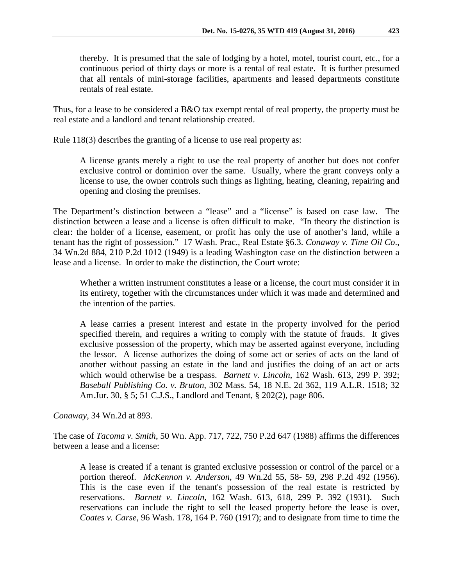thereby. It is presumed that the sale of lodging by a hotel, motel, tourist court, etc., for a continuous period of thirty days or more is a rental of real estate. It is further presumed that all rentals of mini-storage facilities, apartments and leased departments constitute rentals of real estate.

Thus, for a lease to be considered a B&O tax exempt rental of real property, the property must be real estate and a landlord and tenant relationship created.

Rule 118(3) describes the granting of a license to use real property as:

A license grants merely a right to use the real property of another but does not confer exclusive control or dominion over the same. Usually, where the grant conveys only a license to use, the owner controls such things as lighting, heating, cleaning, repairing and opening and closing the premises.

The Department's distinction between a "lease" and a "license" is based on case law. The distinction between a lease and a license is often difficult to make. "In theory the distinction is clear: the holder of a license, easement, or profit has only the use of another's land, while a tenant has the right of possession." 17 Wash. Prac., Real Estate §6.3. *Conaway v. Time Oil Co*., 34 Wn.2d 884, 210 P.2d 1012 (1949) is a leading Washington case on the distinction between a lease and a license. In order to make the distinction, the Court wrote:

Whether a written instrument constitutes a lease or a license, the court must consider it in its entirety, together with the circumstances under which it was made and determined and the intention of the parties.

A lease carries a present interest and estate in the property involved for the period specified therein, and requires a writing to comply with the statute of frauds. It gives exclusive possession of the property, which may be asserted against everyone, including the lessor. A license authorizes the doing of some act or series of acts on the land of another without passing an estate in the land and justifies the doing of an act or acts which would otherwise be a trespass. *Barnett v. Lincoln*, 162 Wash. 613, 299 P. 392; *Baseball Publishing Co. v. Bruton*, 302 Mass. 54, 18 N.E. 2d 362, 119 A.L.R. 1518; 32 Am.Jur. 30, § 5; 51 C.J.S., Landlord and Tenant, § 202(2), page 806.

*Conaway*, 34 Wn.2d at 893.

The case of *Tacoma v. Smith*, 50 Wn. App. 717, 722, 750 P.2d 647 (1988) affirms the differences between a lease and a license:

A lease is created if a tenant is granted exclusive possession or control of the parcel or a portion thereof. *McKennon v. Anderson*, 49 Wn.2d 55, 58- 59, 298 P.2d 492 (1956). This is the case even if the tenant's possession of the real estate is restricted by reservations. *Barnett v. Lincoln*, 162 Wash. 613, 618, 299 P. 392 (1931). Such reservations can include the right to sell the leased property before the lease is over, *Coates v. Carse*, 96 Wash. 178, 164 P. 760 (1917); and to designate from time to time the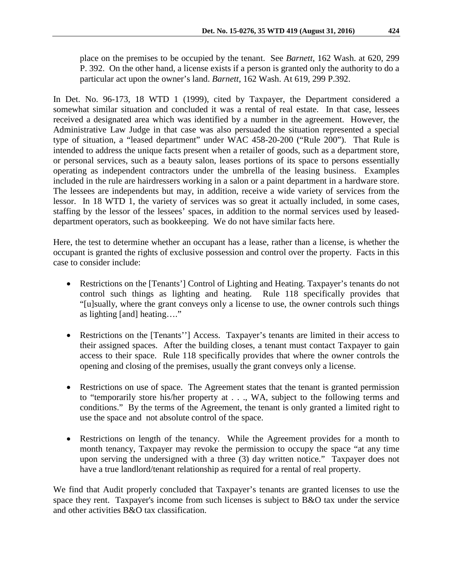place on the premises to be occupied by the tenant. See *Barnett*, 162 Wash. at 620, 299 P. 392. On the other hand, a license exists if a person is granted only the authority to do a particular act upon the owner's land. *Barnett*, 162 Wash. At 619, 299 P.392.

In Det. No. 96-173, 18 WTD 1 (1999), cited by Taxpayer, the Department considered a somewhat similar situation and concluded it was a rental of real estate. In that case, lessees received a designated area which was identified by a number in the agreement. However, the Administrative Law Judge in that case was also persuaded the situation represented a special type of situation, a "leased department" under WAC 458-20-200 ("Rule 200"). That Rule is intended to address the unique facts present when a retailer of goods, such as a department store, or personal services, such as a beauty salon, leases portions of its space to persons essentially operating as independent contractors under the umbrella of the leasing business. Examples included in the rule are hairdressers working in a salon or a paint department in a hardware store. The lessees are independents but may, in addition, receive a wide variety of services from the lessor. In 18 WTD 1, the variety of services was so great it actually included, in some cases, staffing by the lessor of the lessees' spaces, in addition to the normal services used by leaseddepartment operators, such as bookkeeping. We do not have similar facts here.

Here, the test to determine whether an occupant has a lease, rather than a license, is whether the occupant is granted the rights of exclusive possession and control over the property. Facts in this case to consider include:

- Restrictions on the [Tenants'] Control of Lighting and Heating. Taxpayer's tenants do not control such things as lighting and heating. Rule 118 specifically provides that "[u]sually, where the grant conveys only a license to use, the owner controls such things as lighting [and] heating…."
- Restrictions on the [Tenants''] Access. Taxpayer's tenants are limited in their access to their assigned spaces. After the building closes, a tenant must contact Taxpayer to gain access to their space. Rule 118 specifically provides that where the owner controls the opening and closing of the premises, usually the grant conveys only a license.
- Restrictions on use of space. The Agreement states that the tenant is granted permission to "temporarily store his/her property at . . ., WA, subject to the following terms and conditions." By the terms of the Agreement, the tenant is only granted a limited right to use the space and not absolute control of the space.
- Restrictions on length of the tenancy. While the Agreement provides for a month to month tenancy, Taxpayer may revoke the permission to occupy the space "at any time upon serving the undersigned with a three (3) day written notice." Taxpayer does not have a true landlord/tenant relationship as required for a rental of real property.

We find that Audit properly concluded that Taxpayer's tenants are granted licenses to use the space they rent. Taxpayer's income from such licenses is subject to B&O tax under the service and other activities B&O tax classification.